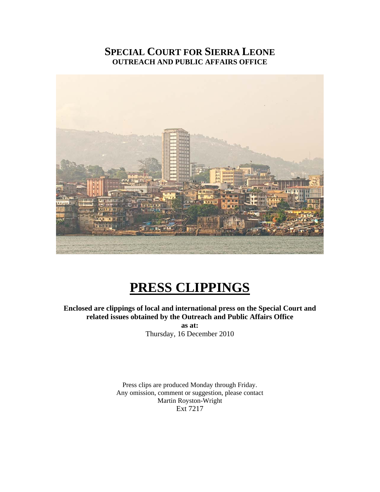## **SPECIAL COURT FOR SIERRA LEONE OUTREACH AND PUBLIC AFFAIRS OFFICE**



# **PRESS CLIPPINGS**

## **Enclosed are clippings of local and international press on the Special Court and related issues obtained by the Outreach and Public Affairs Office**

**as at:**  Thursday, 16 December 2010

Press clips are produced Monday through Friday. Any omission, comment or suggestion, please contact Martin Royston-Wright Ext 7217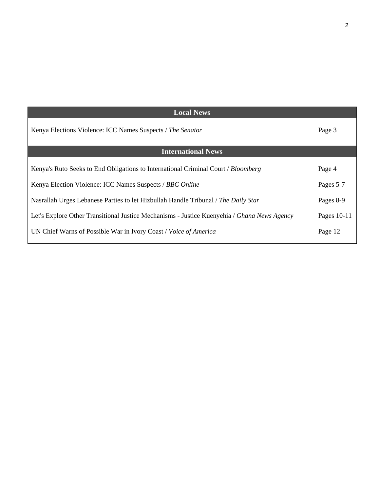| <b>Local News</b>                                                                           |             |
|---------------------------------------------------------------------------------------------|-------------|
| Kenya Elections Violence: ICC Names Suspects / The Senator                                  | Page 3      |
| <b>International News</b>                                                                   |             |
|                                                                                             |             |
| Kenya's Ruto Seeks to End Obligations to International Criminal Court / Bloomberg           | Page 4      |
| Kenya Election Violence: ICC Names Suspects / BBC Online                                    | Pages 5-7   |
|                                                                                             |             |
| Nasrallah Urges Lebanese Parties to let Hizbullah Handle Tribunal / The Daily Star          | Pages 8-9   |
| Let's Explore Other Transitional Justice Mechanisms - Justice Kuenyehia / Ghana News Agency | Pages 10-11 |
| UN Chief Warns of Possible War in Ivory Coast / Voice of America                            | Page 12     |
|                                                                                             |             |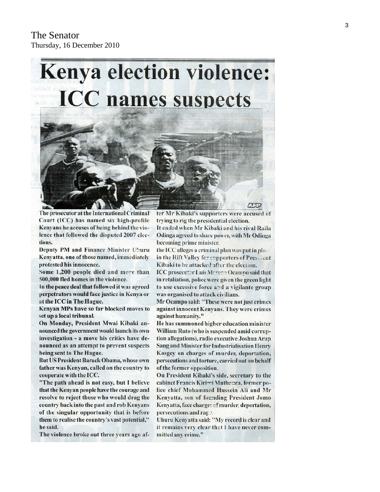

The prosecutor at the International Criminal Court (ICC) has named six high-profile Kenyans he accuses of being behind the violence that followed the disputed 2007 elections.

Deputy PM and Finance Minister Uhuru Kenyatta, one of those named, immediately protested his innocence.

Some 1,200 people died and mere than 500,000 fled homes in the violence.

In the peace deal that followed it was agreed perpetrators would face justice in Kenya or at the ICC in The Hague.

Kenyan MPs have so far blocked moves to set up a local tribunal.

On Monday, President Mwai Kibaki announced the government would launch its own investigation - a move his critics have denounced as an attempt to prevent suspects being sent to The Hague.

But US President Barack Obama, whose own father was Kenyan, called on the country to cooperate with the ICC.

"The path ahead is not easy, but I believe that the Kenyan people have the courage and resolve to reject those who would drag the country back into the past and rob Kenyans of the singular opportunity that is before them to realise the country's vast potential," he said.

The violence broke out three years ago af-

ter Mr Kibaki's supporters were accused of trying to rig the presidential election. It ended when Mr Kibaki and his rival Raila Odinga agreed to share power, with Mr Odinga becoming prime minister.

the ICC alleges a criminal plan was put in place in the Rift Valley fer supporters of President Kibaki to be attacked after the election. ICC prosecutor Luis Moreno Ocampo said that in retaliation, police were given the green light to use excessive force and a vigilante group

was organised to attack civilians. Mr Ocampo said: "These were not just crimes against innocent Kenyans. They were crimes against humanity."

He has summoned higher education minister William Ruto (who is suspended amid corruption allegations), radio executive Joshua Arap Sang and Minister for Industrialisation Henry Kosgey on charges of murder, deportation, persecutions and torture, carried out on behalf of the former opposition.

On President Kibaki's side, secretary to the cabinet Francis Kirimi Muthaura, former police chief Mohammed Hussein Ali and Mr Kenyatta, son of founding President Jomo Kenyatta, face charges of murder, deportation, persecutions and rape.

Uhuru Kenyatta said: "My record is clear and it remains very clear that I have never committed any crime."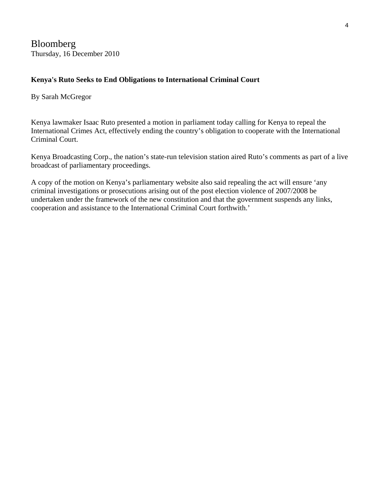Bloomberg Thursday, 16 December 2010

## **Kenya's Ruto Seeks to End Obligations to International Criminal Court**

By Sarah McGregor

Kenya lawmaker Isaac Ruto presented a motion in parliament today calling for Kenya to repeal the International Crimes Act, effectively ending the country's obligation to cooperate with the International Criminal Court.

Kenya Broadcasting Corp., the nation's state-run television station aired Ruto's comments as part of a live broadcast of parliamentary proceedings.

A copy of the motion on Kenya's parliamentary website also said repealing the act will ensure 'any criminal investigations or prosecutions arising out of the post election violence of 2007/2008 be undertaken under the framework of the new constitution and that the government suspends any links, cooperation and assistance to the International Criminal Court forthwith.'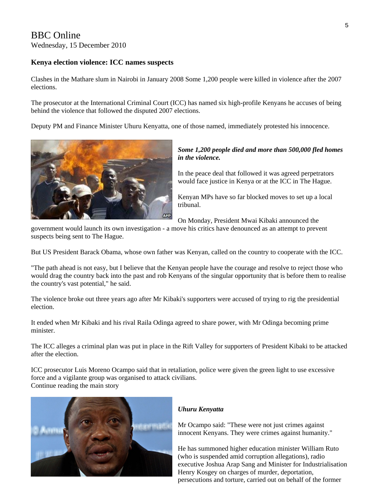## BBC Online Wednesday, 15 December 2010

### **Kenya election violence: ICC names suspects**

Clashes in the Mathare slum in Nairobi in January 2008 Some 1,200 people were killed in violence after the 2007 elections.

The prosecutor at the International Criminal Court (ICC) has named six high-profile Kenyans he accuses of being behind the violence that followed the disputed 2007 elections.

Deputy PM and Finance Minister Uhuru Kenyatta, one of those named, immediately protested his innocence.



#### *Some 1,200 people died and more than 500,000 fled homes in the violence.*

In the peace deal that followed it was agreed perpetrators would face justice in Kenya or at the ICC in The Hague.

Kenyan MPs have so far blocked moves to set up a local tribunal.

On Monday, President Mwai Kibaki announced the

government would launch its own investigation - a move his critics have denounced as an attempt to prevent suspects being sent to The Hague.

But US President Barack Obama, whose own father was Kenyan, called on the country to cooperate with the ICC.

"The path ahead is not easy, but I believe that the Kenyan people have the courage and resolve to reject those who would drag the country back into the past and rob Kenyans of the singular opportunity that is before them to realise the country's vast potential," he said.

The violence broke out three years ago after Mr Kibaki's supporters were accused of trying to rig the presidential election.

It ended when Mr Kibaki and his rival Raila Odinga agreed to share power, with Mr Odinga becoming prime minister.

The ICC alleges a criminal plan was put in place in the Rift Valley for supporters of President Kibaki to be attacked after the election.

ICC prosecutor Luis Moreno Ocampo said that in retaliation, police were given the green light to use excessive force and a vigilante group was organised to attack civilians. Continue reading the main story



#### *Uhuru Kenyatta*

Mr Ocampo said: "These were not just crimes against innocent Kenyans. They were crimes against humanity."

He has summoned higher education minister William Ruto (who is suspended amid corruption allegations), radio executive Joshua Arap Sang and Minister for Industrialisation Henry Kosgey on charges of murder, deportation, persecutions and torture, carried out on behalf of the former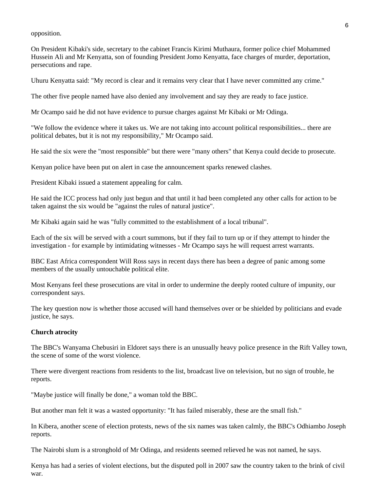opposition.

On President Kibaki's side, secretary to the cabinet Francis Kirimi Muthaura, former police chief Mohammed Hussein Ali and Mr Kenyatta, son of founding President Jomo Kenyatta, face charges of murder, deportation, persecutions and rape.

Uhuru Kenyatta said: "My record is clear and it remains very clear that I have never committed any crime."

The other five people named have also denied any involvement and say they are ready to face justice.

Mr Ocampo said he did not have evidence to pursue charges against Mr Kibaki or Mr Odinga.

"We follow the evidence where it takes us. We are not taking into account political responsibilities... there are political debates, but it is not my responsibility," Mr Ocampo said.

He said the six were the "most responsible" but there were "many others" that Kenya could decide to prosecute.

Kenyan police have been put on alert in case the announcement sparks renewed clashes.

President Kibaki issued a statement appealing for calm.

He said the ICC process had only just begun and that until it had been completed any other calls for action to be taken against the six would be "against the rules of natural justice".

Mr Kibaki again said he was "fully committed to the establishment of a local tribunal".

Each of the six will be served with a court summons, but if they fail to turn up or if they attempt to hinder the investigation - for example by intimidating witnesses - Mr Ocampo says he will request arrest warrants.

BBC East Africa correspondent Will Ross says in recent days there has been a degree of panic among some members of the usually untouchable political elite.

Most Kenyans feel these prosecutions are vital in order to undermine the deeply rooted culture of impunity, our correspondent says.

The key question now is whether those accused will hand themselves over or be shielded by politicians and evade justice, he says.

#### **Church atrocity**

The BBC's Wanyama Chebusiri in Eldoret says there is an unusually heavy police presence in the Rift Valley town, the scene of some of the worst violence.

There were divergent reactions from residents to the list, broadcast live on television, but no sign of trouble, he reports.

"Maybe justice will finally be done," a woman told the BBC.

But another man felt it was a wasted opportunity: "It has failed miserably, these are the small fish."

In Kibera, another scene of election protests, news of the six names was taken calmly, the BBC's Odhiambo Joseph reports.

The Nairobi slum is a stronghold of Mr Odinga, and residents seemed relieved he was not named, he says.

Kenya has had a series of violent elections, but the disputed poll in 2007 saw the country taken to the brink of civil war.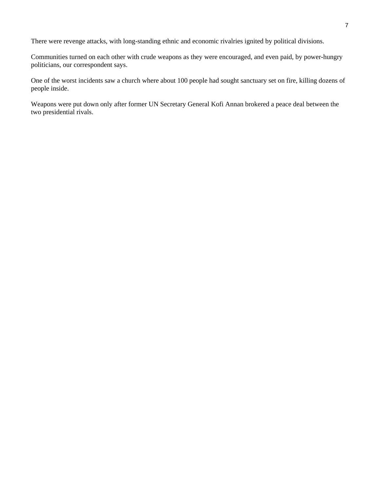There were revenge attacks, with long-standing ethnic and economic rivalries ignited by political divisions.

Communities turned on each other with crude weapons as they were encouraged, and even paid, by power-hungry politicians, our correspondent says.

One of the worst incidents saw a church where about 100 people had sought sanctuary set on fire, killing dozens of people inside.

Weapons were put down only after former UN Secretary General Kofi Annan brokered a peace deal between the two presidential rivals.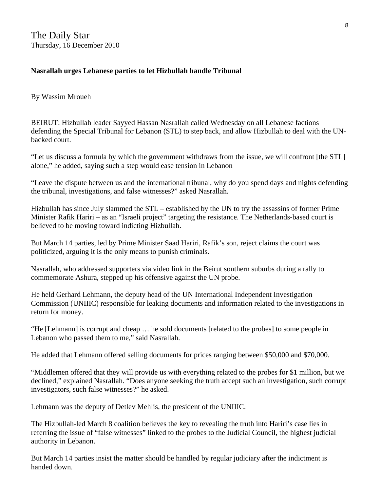The Daily Star Thursday, 16 December 2010

## **Nasrallah urges Lebanese parties to let Hizbullah handle Tribunal**

By Wassim Mroueh

BEIRUT: Hizbullah leader Sayyed Hassan Nasrallah called Wednesday on all Lebanese factions defending the Special Tribunal for Lebanon (STL) to step back, and allow Hizbullah to deal with the UNbacked court.

"Let us discuss a formula by which the government withdraws from the issue, we will confront [the STL] alone," he added, saying such a step would ease tension in Lebanon

"Leave the dispute between us and the international tribunal, why do you spend days and nights defending the tribunal, investigations, and false witnesses?" asked Nasrallah.

Hizbullah has since July slammed the STL – established by the UN to try the assassins of former Prime Minister Rafik Hariri – as an "Israeli project" targeting the resistance. The Netherlands-based court is believed to be moving toward indicting Hizbullah.

But March 14 parties, led by Prime Minister Saad Hariri, Rafik's son, reject claims the court was politicized, arguing it is the only means to punish criminals.

Nasrallah, who addressed supporters via video link in the Beirut southern suburbs during a rally to commemorate Ashura, stepped up his offensive against the UN probe.

He held Gerhard Lehmann, the deputy head of the UN International Independent Investigation Commission (UNIIIC) responsible for leaking documents and information related to the investigations in return for money.

"He [Lehmann] is corrupt and cheap … he sold documents [related to the probes] to some people in Lebanon who passed them to me," said Nasrallah.

He added that Lehmann offered selling documents for prices ranging between \$50,000 and \$70,000.

"Middlemen offered that they will provide us with everything related to the probes for \$1 million, but we declined," explained Nasrallah. "Does anyone seeking the truth accept such an investigation, such corrupt investigators, such false witnesses?" he asked.

Lehmann was the deputy of Detlev Mehlis, the president of the UNIIIC.

The Hizbullah-led March 8 coalition believes the key to revealing the truth into Hariri's case lies in referring the issue of "false witnesses" linked to the probes to the Judicial Council, the highest judicial authority in Lebanon.

But March 14 parties insist the matter should be handled by regular judiciary after the indictment is handed down.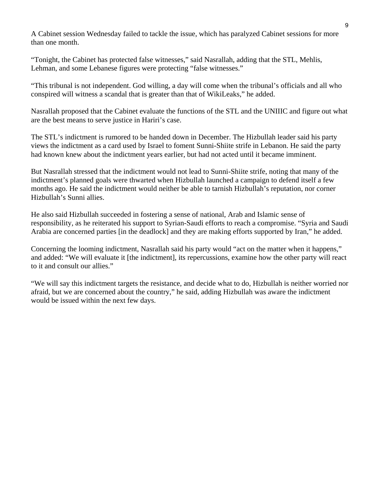A Cabinet session Wednesday failed to tackle the issue, which has paralyzed Cabinet sessions for more than one month.

"Tonight, the Cabinet has protected false witnesses," said Nasrallah, adding that the STL, Mehlis, Lehman, and some Lebanese figures were protecting "false witnesses."

"This tribunal is not independent. God willing, a day will come when the tribunal's officials and all who conspired will witness a scandal that is greater than that of WikiLeaks," he added.

Nasrallah proposed that the Cabinet evaluate the functions of the STL and the UNIIIC and figure out what are the best means to serve justice in Hariri's case.

The STL's indictment is rumored to be handed down in December. The Hizbullah leader said his party views the indictment as a card used by Israel to foment Sunni-Shiite strife in Lebanon. He said the party had known knew about the indictment years earlier, but had not acted until it became imminent.

But Nasrallah stressed that the indictment would not lead to Sunni-Shiite strife, noting that many of the indictment's planned goals were thwarted when Hizbullah launched a campaign to defend itself a few months ago. He said the indictment would neither be able to tarnish Hizbullah's reputation, nor corner Hizbullah's Sunni allies.

He also said Hizbullah succeeded in fostering a sense of national, Arab and Islamic sense of responsibility, as he reiterated his support to Syrian-Saudi efforts to reach a compromise. "Syria and Saudi Arabia are concerned parties [in the deadlock] and they are making efforts supported by Iran," he added.

Concerning the looming indictment, Nasrallah said his party would "act on the matter when it happens," and added: "We will evaluate it [the indictment], its repercussions, examine how the other party will react to it and consult our allies."

"We will say this indictment targets the resistance, and decide what to do, Hizbullah is neither worried nor afraid, but we are concerned about the country," he said, adding Hizbullah was aware the indictment would be issued within the next few days.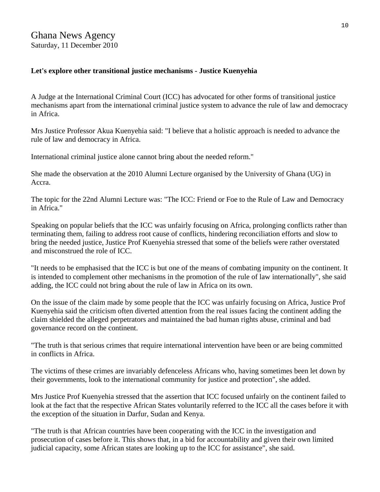## **Let's explore other transitional justice mechanisms - Justice Kuenyehia**

A Judge at the International Criminal Court (ICC) has advocated for other forms of transitional justice mechanisms apart from the international criminal justice system to advance the rule of law and democracy in Africa.

Mrs Justice Professor Akua Kuenyehia said: "I believe that a holistic approach is needed to advance the rule of law and democracy in Africa.

International criminal justice alone cannot bring about the needed reform."

She made the observation at the 2010 Alumni Lecture organised by the University of Ghana (UG) in Accra.

The topic for the 22nd Alumni Lecture was: "The ICC: Friend or Foe to the Rule of Law and Democracy in Africa."

Speaking on popular beliefs that the ICC was unfairly focusing on Africa, prolonging conflicts rather than terminating them, failing to address root cause of conflicts, hindering reconciliation efforts and slow to bring the needed justice, Justice Prof Kuenyehia stressed that some of the beliefs were rather overstated and misconstrued the role of ICC.

"It needs to be emphasised that the ICC is but one of the means of combating impunity on the continent. It is intended to complement other mechanisms in the promotion of the rule of law internationally", she said adding, the ICC could not bring about the rule of law in Africa on its own.

On the issue of the claim made by some people that the ICC was unfairly focusing on Africa, Justice Prof Kuenyehia said the criticism often diverted attention from the real issues facing the continent adding the claim shielded the alleged perpetrators and maintained the bad human rights abuse, criminal and bad governance record on the continent.

"The truth is that serious crimes that require international intervention have been or are being committed in conflicts in Africa.

The victims of these crimes are invariably defenceless Africans who, having sometimes been let down by their governments, look to the international community for justice and protection", she added.

Mrs Justice Prof Kuenyehia stressed that the assertion that ICC focused unfairly on the continent failed to look at the fact that the respective African States voluntarily referred to the ICC all the cases before it with the exception of the situation in Darfur, Sudan and Kenya.

"The truth is that African countries have been cooperating with the ICC in the investigation and prosecution of cases before it. This shows that, in a bid for accountability and given their own limited judicial capacity, some African states are looking up to the ICC for assistance", she said.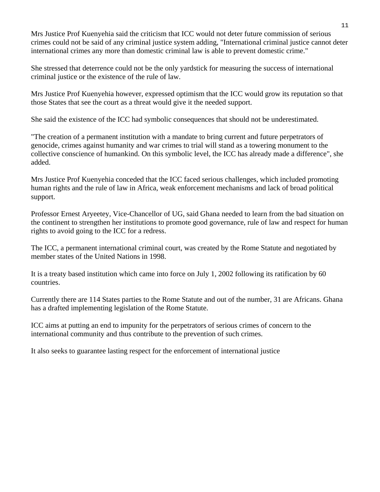Mrs Justice Prof Kuenyehia said the criticism that ICC would not deter future commission of serious crimes could not be said of any criminal justice system adding, "International criminal justice cannot deter international crimes any more than domestic criminal law is able to prevent domestic crime."

She stressed that deterrence could not be the only yardstick for measuring the success of international criminal justice or the existence of the rule of law.

Mrs Justice Prof Kuenyehia however, expressed optimism that the ICC would grow its reputation so that those States that see the court as a threat would give it the needed support.

She said the existence of the ICC had symbolic consequences that should not be underestimated.

"The creation of a permanent institution with a mandate to bring current and future perpetrators of genocide, crimes against humanity and war crimes to trial will stand as a towering monument to the collective conscience of humankind. On this symbolic level, the ICC has already made a difference", she added.

Mrs Justice Prof Kuenyehia conceded that the ICC faced serious challenges, which included promoting human rights and the rule of law in Africa, weak enforcement mechanisms and lack of broad political support.

Professor Ernest Aryeetey, Vice-Chancellor of UG, said Ghana needed to learn from the bad situation on the continent to strengthen her institutions to promote good governance, rule of law and respect for human rights to avoid going to the ICC for a redress.

The ICC, a permanent international criminal court, was created by the Rome Statute and negotiated by member states of the United Nations in 1998.

It is a treaty based institution which came into force on July 1, 2002 following its ratification by 60 countries.

Currently there are 114 States parties to the Rome Statute and out of the number, 31 are Africans. Ghana has a drafted implementing legislation of the Rome Statute.

ICC aims at putting an end to impunity for the perpetrators of serious crimes of concern to the international community and thus contribute to the prevention of such crimes.

It also seeks to guarantee lasting respect for the enforcement of international justice